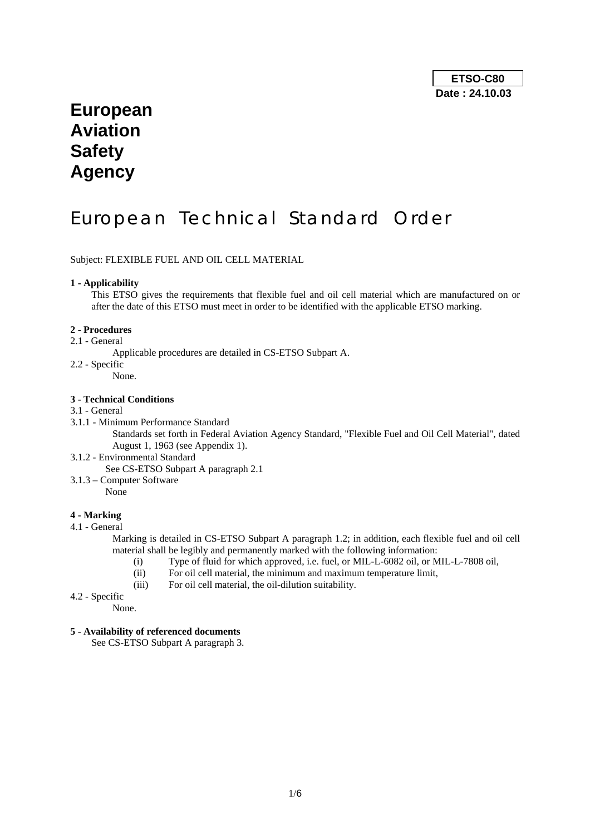# **European Aviation Safety Agency**

# European Technical Standard Order

Subject: FLEXIBLE FUEL AND OIL CELL MATERIAL

#### **1 - Applicability**

This ETSO gives the requirements that flexible fuel and oil cell material which are manufactured on or after the date of this ETSO must meet in order to be identified with the applicable ETSO marking.

### **2 - Procedures**

- 2.1 General
	- Applicable procedures are detailed in CS-ETSO Subpart A.
- 2.2 Specific
	- None.

# **3 - Technical Conditions**

# 3.1 - General

3.1.1 - Minimum Performance Standard

Standards set forth in Federal Aviation Agency Standard, "Flexible Fuel and Oil Cell Material", dated August 1, 1963 (see Appendix 1).

3.1.2 - Environmental Standard

See CS-ETSO Subpart A paragraph 2.1

3.1.3 – Computer Software None

#### **4 - Marking**

4.1 - General

Marking is detailed in CS-ETSO Subpart A paragraph 1.2; in addition, each flexible fuel and oil cell material shall be legibly and permanently marked with the following information:

- (i) Type of fluid for which approved, i.e. fuel, or MIL-L-6082 oil, or MIL-L-7808 oil,
- (ii) For oil cell material, the minimum and maximum temperature limit,
- (iii) For oil cell material, the oil-dilution suitability.
- 4.2 Specific

None.

#### **5 - Availability of referenced documents**

See CS-ETSO Subpart A paragraph 3.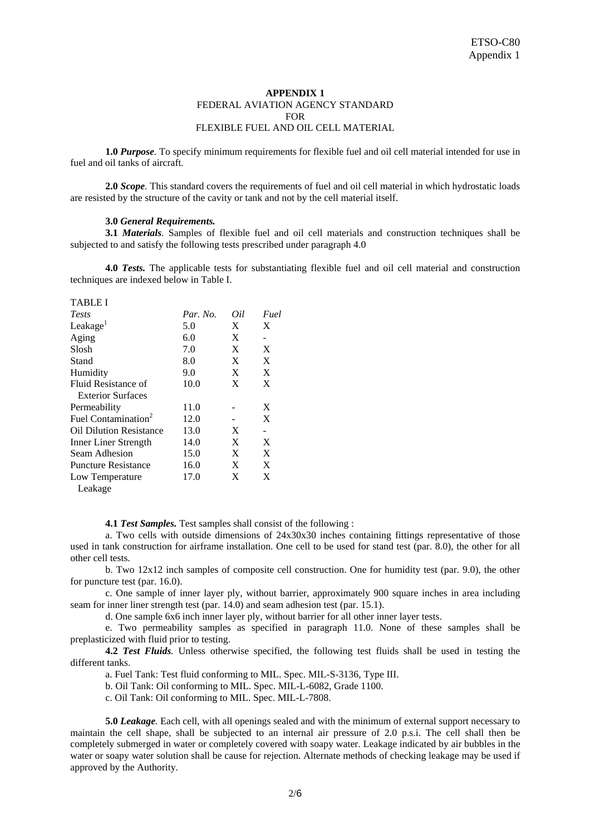## **APPENDIX 1**  FEDERAL AVIATION AGENCY STANDARD **FOR** FLEXIBLE FUEL AND OIL CELL MATERIAL

 **1.0** *Purpose.* To specify minimum requirements for flexible fuel and oil cell material intended for use in fuel and oil tanks of aircraft.

**2.0** *Scope.* This standard covers the requirements of fuel and oil cell material in which hydrostatic loads are resisted by the structure of the cavity or tank and not by the cell material itself.

#### **3.0** *General Requirements.*

**3.1** *Materials.* Samples of flexible fuel and oil cell materials and construction techniques shall be subjected to and satisfy the following tests prescribed under paragraph 4.0

**4.0** *Tests.* The applicable tests for substantiating flexible fuel and oil cell material and construction techniques are indexed below in Table I.

TABLE I

| <b>Tests</b>                    | Par. No. | Oil | Fuel |
|---------------------------------|----------|-----|------|
| Leakage <sup>1</sup>            | 5.0      | X   | X    |
| Aging                           | 6.0      | X   | -    |
| Slosh                           | 7.0      | X   | X    |
| Stand                           | 8.0      | X   | X    |
| Humidity                        | 9.0      | X   | X    |
| Fluid Resistance of             | 10.0     | X   | X    |
| <b>Exterior Surfaces</b>        |          |     |      |
| Permeability                    | 11.0     |     | X    |
| Fuel Contamination <sup>2</sup> | 12.0     |     | X    |
| <b>Oil Dilution Resistance</b>  | 13.0     | X   |      |
| Inner Liner Strength            | 14.0     | X   | X    |
| Seam Adhesion                   | 15.0     | X   | X    |
| <b>Puncture Resistance</b>      | 16.0     | X   | X    |
| Low Temperature                 | 17.0     | X   | X    |
| Leakage                         |          |     |      |

**4.1** *Test Samples.* Test samples shall consist of the following :

 a. Two cells with outside dimensions of 24x30x30 inches containing fittings representative of those used in tank construction for airframe installation. One cell to be used for stand test (par. 8.0), the other for all other cell tests.

b. Two  $12x12$  inch samples of composite cell construction. One for humidity test (par. 9.0), the other for puncture test (par. 16.0).

 c. One sample of inner layer ply, without barrier, approximately 900 square inches in area including seam for inner liner strength test (par. 14.0) and seam adhesion test (par. 15.1).

d. One sample 6x6 inch inner layer ply, without barrier for all other inner layer tests.

 e. Two permeability samples as specified in paragraph 11.0. None of these samples shall be preplasticized with fluid prior to testing.

**4.2** *Test Fluids.* Unless otherwise specified, the following test fluids shall be used in testing the different tanks.

a. Fuel Tank: Test fluid conforming to MIL. Spec. MIL-S-3136, Type III.

b. Oil Tank: Oil conforming to MIL. Spec. MIL-L-6082, Grade 1100.

c. Oil Tank: Oil conforming to MIL. Spec. MIL-L-7808.

**5.0** *Leakage.* Each cell, with all openings sealed and with the minimum of external support necessary to maintain the cell shape, shall be subjected to an internal air pressure of 2.0 p.s.i. The cell shall then be completely submerged in water or completely covered with soapy water. Leakage indicated by air bubbles in the water or soapy water solution shall be cause for rejection. Alternate methods of checking leakage may be used if approved by the Authority.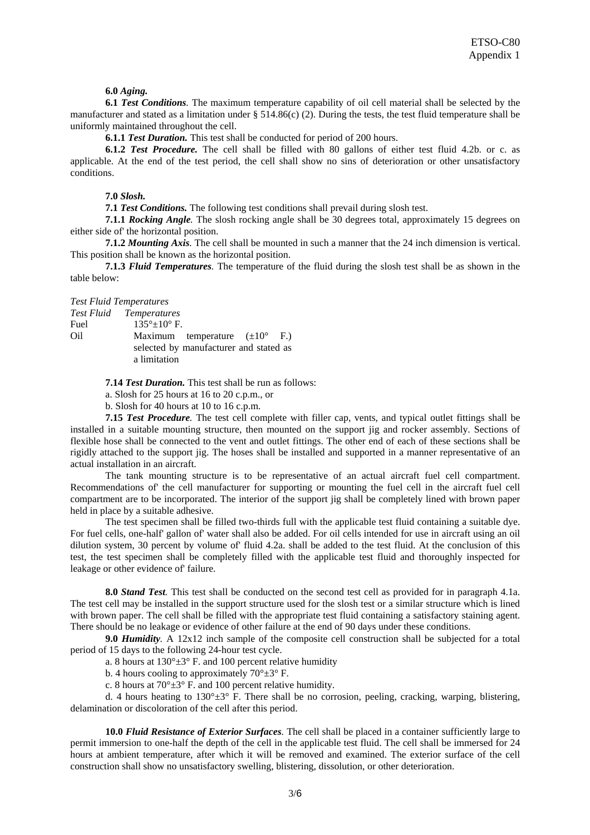**6.0** *Aging.*

**6.1** *Test Conditions.* The maximum temperature capability of oil cell material shall be selected by the manufacturer and stated as a limitation under  $\S$  514.86(c) (2). During the tests, the test fluid temperature shall be uniformly maintained throughout the cell.

 **6.1.1** *Test Duration.* This test shall be conducted for period of 200 hours.

 **6.1.2** *Test Procedure.* The cell shall be filled with 80 gallons of either test fluid 4.2b. or c. as applicable. At the end of the test period, the cell shall show no sins of deterioration or other unsatisfactory conditions.

 **7.0** *Slosh.*

 **7.1** *Test Conditions.* The following test conditions shall prevail during slosh test.

**7.1.1** *Rocking Angle.* The slosh rocking angle shall be 30 degrees total, approximately 15 degrees on either side of' the horizontal position.

**7.1.2** *Mounting Axis.* The cell shall be mounted in such a manner that the 24 inch dimension is vertical. This position shall be known as the horizontal position.

**7.1.3** *Fluid Temperatures.* The temperature of the fluid during the slosh test shall be as shown in the table below:

#### *Test Fluid Temperatures*

|      | <b>Test Fluid</b> Temperatures                    |  |
|------|---------------------------------------------------|--|
| Fuel | $135^{\circ}$ ± 10° F.                            |  |
| Oil  | Maximum temperature $(\pm 10^{\circ} \text{ F.})$ |  |
|      | selected by manufacturer and stated as            |  |
|      | a limitation                                      |  |

**7.14** *Test Duration.* This test shall be run as follows:

a. Slosh for 25 hours at 16 to 20 c.p.m., or

b. Slosh for 40 hours at 10 to 16 c.p.m.

**7.15** *Test Procedure.* The test cell complete with filler cap, vents, and typical outlet fittings shall be installed in a suitable mounting structure, then mounted on the support jig and rocker assembly. Sections of flexible hose shall be connected to the vent and outlet fittings. The other end of each of these sections shall be rigidly attached to the support jig. The hoses shall be installed and supported in a manner representative of an actual installation in an aircraft.

 The tank mounting structure is to be representative of an actual aircraft fuel cell compartment. Recommendations of' the cell manufacturer for supporting or mounting the fuel cell in the aircraft fuel cell compartment are to be incorporated. The interior of the support jig shall be completely lined with brown paper held in place by a suitable adhesive.

 The test specimen shall be filled two-thirds full with the applicable test fluid containing a suitable dye. For fuel cells, one-half' gallon of' water shall also be added. For oil cells intended for use in aircraft using an oil dilution system, 30 percent by volume of' fluid 4.2a. shall be added to the test fluid. At the conclusion of this test, the test specimen shall be completely filled with the applicable test fluid and thoroughly inspected for leakage or other evidence of' failure.

**8.0** *Stand Test.* This test shall be conducted on the second test cell as provided for in paragraph 4.1a. The test cell may be installed in the support structure used for the slosh test or a similar structure which is lined with brown paper. The cell shall be filled with the appropriate test fluid containing a satisfactory staining agent. There should be no leakage or evidence of other failure at the end of 90 days under these conditions.

**9.0** *Humidity.* A 12x12 inch sample of the composite cell construction shall be subjected for a total period of 15 days to the following 24-hour test cycle.

a. 8 hours at  $130^{\circ} \pm 3^{\circ}$  F. and 100 percent relative humidity

b. 4 hours cooling to approximately  $70^{\circ} \pm 3^{\circ}$  F.

c. 8 hours at  $70^{\circ} \pm 3^{\circ}$  F. and 100 percent relative humidity.

d. 4 hours heating to  $130^{\circ} \pm 3^{\circ}$  F. There shall be no corrosion, peeling, cracking, warping, blistering, delamination or discoloration of the cell after this period.

**10.0** *Fluid Resistance of Exterior Surfaces.* The cell shall be placed in a container sufficiently large to permit immersion to one-half the depth of the cell in the applicable test fluid. The cell shall be immersed for 24 hours at ambient temperature, after which it will be removed and examined. The exterior surface of the cell construction shall show no unsatisfactory swelling, blistering, dissolution, or other deterioration.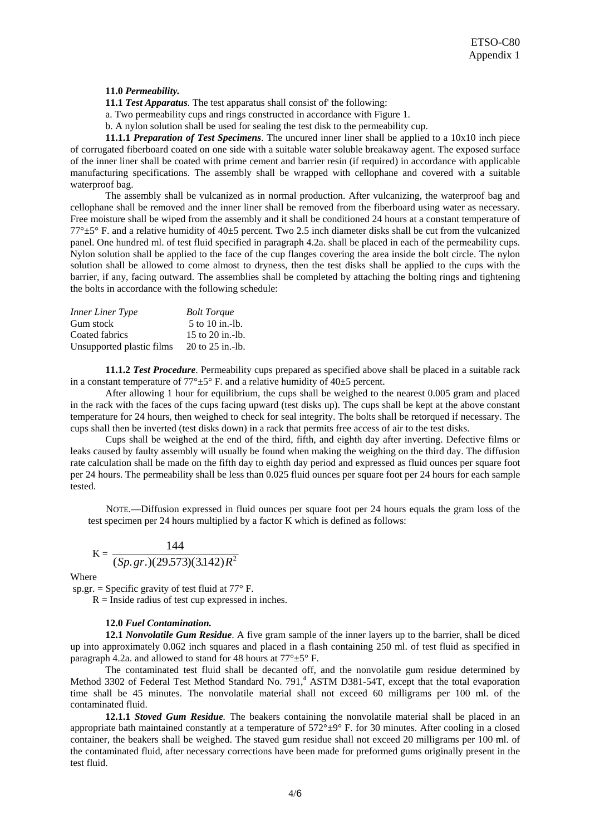### **11.0** *Permeability.*

 **11.1** *Test Apparatus.* The test apparatus shall consist of' the following:

a. Two permeability cups and rings constructed in accordance with Figure 1.

b. A nylon solution shall be used for sealing the test disk to the permeability cup.

**11.1.1** *Preparation of Test Specimens*. The uncured inner liner shall be applied to a 10x10 inch piece of corrugated fiberboard coated on one side with a suitable water soluble breakaway agent. The exposed surface of the inner liner shall be coated with prime cement and barrier resin (if required) in accordance with applicable manufacturing specifications. The assembly shall be wrapped with cellophane and covered with a suitable waterproof bag.

 The assembly shall be vulcanized as in normal production. After vulcanizing, the waterproof bag and cellophane shall be removed and the inner liner shall be removed from the fiberboard using water as necessary. Free moisture shall be wiped from the assembly and it shall be conditioned 24 hours at a constant temperature of  $77^{\circ}$ ±5° F. and a relative humidity of 40±5 percent. Two 2.5 inch diameter disks shall be cut from the vulcanized panel. One hundred ml. of test fluid specified in paragraph 4.2a. shall be placed in each of the permeability cups. Nylon solution shall be applied to the face of the cup flanges covering the area inside the bolt circle. The nylon solution shall be allowed to come almost to dryness, then the test disks shall be applied to the cups with the barrier, if any, facing outward. The assemblies shall be completed by attaching the bolting rings and tightening the bolts in accordance with the following schedule:

| <b>Inner Liner Type</b>   | <b>Bolt Torque</b> |
|---------------------------|--------------------|
| Gum stock                 | 5 to 10 in.-lb.    |
| Coated fabrics            | 15 to $20$ in.-lb. |
| Unsupported plastic films | 20 to 25 in.-lb.   |

**11.1.2** *Test Procedure*. Permeability cups prepared as specified above shall be placed in a suitable rack in a constant temperature of  $77^{\circ} \pm 5^{\circ}$  F. and a relative humidity of 40 $\pm$ 5 percent.

 After allowing 1 hour for equilibrium, the cups shall be weighed to the nearest 0.005 gram and placed in the rack with the faces of the cups facing upward (test disks up). The cups shall be kept at the above constant temperature for 24 hours, then weighed to check for seal integrity. The bolts shall be retorqued if necessary. The cups shall then be inverted (test disks down) in a rack that permits free access of air to the test disks.

 Cups shall be weighed at the end of the third, fifth, and eighth day after inverting. Defective films or leaks caused by faulty assembly will usually be found when making the weighing on the third day. The diffusion rate calculation shall be made on the fifth day to eighth day period and expressed as fluid ounces per square foot per 24 hours. The permeability shall be less than 0.025 fluid ounces per square foot per 24 hours for each sample tested.

NOTE.—Diffusion expressed in fluid ounces per square foot per 24 hours equals the gram loss of the test specimen per 24 hours multiplied by a factor K which is defined as follows:

$$
K = \frac{144}{(Sp. gr.)(29.573)(3.142)R^2}
$$

Where

sp.gr. = Specific gravity of test fluid at  $77^{\circ}$  F.

 $R =$  Inside radius of test cup expressed in inches.

#### **12.0** *Fuel Contamination.*

**12.1** *Nonvolatile Gum Residue*. A five gram sample of the inner layers up to the barrier, shall be diced up into approximately 0.062 inch squares and placed in a flash containing 250 ml. of test fluid as specified in paragraph 4.2a. and allowed to stand for 48 hours at  $77^{\circ} \pm 5^{\circ}$  F.

 The contaminated test fluid shall be decanted off, and the nonvolatile gum residue determined by Method 3302 of Federal Test Method Standard No. 791,<sup>4</sup> ASTM D381-54T, except that the total evaporation time shall be 45 minutes. The nonvolatile material shall not exceed 60 milligrams per 100 ml. of the contaminated fluid.

**12.1.1** *Stoved Gum Residue.* The beakers containing the nonvolatile material shall be placed in an appropriate bath maintained constantly at a temperature of  $572^{\circ} \pm 9^{\circ}$  F. for 30 minutes. After cooling in a closed container, the beakers shall be weighed. The staved gum residue shall not exceed 20 milligrams per 100 ml. of the contaminated fluid, after necessary corrections have been made for preformed gums originally present in the test fluid.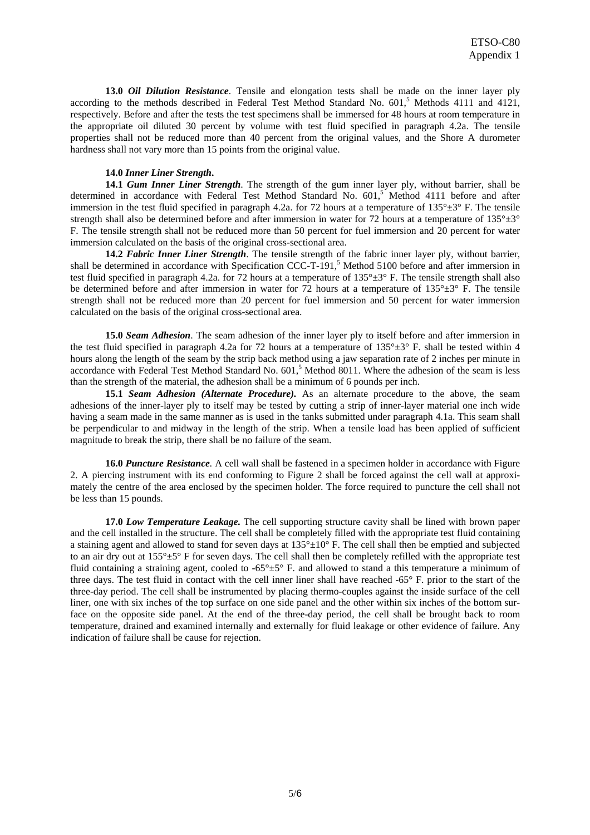**13.0** *Oil Dilution Resistance*. Tensile and elongation tests shall be made on the inner layer ply according to the methods described in Federal Test Method Standard No.  $601<sup>5</sup>$  Methods 4111 and 4121, respectively. Before and after the tests the test specimens shall be immersed for 48 hours at room temperature in the appropriate oil diluted 30 percent by volume with test fluid specified in paragraph 4.2a. The tensile properties shall not be reduced more than 40 percent from the original values, and the Shore A durometer hardness shall not vary more than 15 points from the original value.

#### **14.0** *Inner Liner Strength***.**

**14.1** *Gum Inner Liner Strength*. The strength of the gum inner layer ply, without barrier, shall be determined in accordance with Federal Test Method Standard No. 601,<sup>5</sup> Method 4111 before and after immersion in the test fluid specified in paragraph 4.2a. for 72 hours at a temperature of  $135^{\circ} \pm 3^{\circ}$  F. The tensile strength shall also be determined before and after immersion in water for 72 hours at a temperature of  $135^\circ \pm 3^\circ$ F. The tensile strength shall not be reduced more than 50 percent for fuel immersion and 20 percent for water immersion calculated on the basis of the original cross-sectional area.

**14.2** *Fabric Inner Liner Strength*. The tensile strength of the fabric inner layer ply, without barrier, shall be determined in accordance with Specification CCC-T-191,<sup>5</sup> Method 5100 before and after immersion in test fluid specified in paragraph 4.2a. for 72 hours at a temperature of 135°±3° F. The tensile strength shall also be determined before and after immersion in water for 72 hours at a temperature of  $135^{\circ} \pm 3^{\circ}$  F. The tensile strength shall not be reduced more than 20 percent for fuel immersion and 50 percent for water immersion calculated on the basis of the original cross-sectional area.

**15.0** *Seam Adhesion*. The seam adhesion of the inner layer ply to itself before and after immersion in the test fluid specified in paragraph 4.2a for 72 hours at a temperature of  $135^{\circ} \pm 3^{\circ}$  F. shall be tested within 4 hours along the length of the seam by the strip back method using a jaw separation rate of 2 inches per minute in accordance with Federal Test Method Standard No. 601,<sup>5</sup> Method 8011. Where the adhesion of the seam is less than the strength of the material, the adhesion shall be a minimum of 6 pounds per inch.

**15.1** *Seam Adhesion (Alternate Procedure).* As an alternate procedure to the above, the seam adhesions of the inner-layer ply to itself may be tested by cutting a strip of inner-layer material one inch wide having a seam made in the same manner as is used in the tanks submitted under paragraph 4.1a. This seam shall be perpendicular to and midway in the length of the strip. When a tensile load has been applied of sufficient magnitude to break the strip, there shall be no failure of the seam.

**16.0** *Puncture Resistance.* A cell wall shall be fastened in a specimen holder in accordance with Figure 2. A piercing instrument with its end conforming to Figure 2 shall be forced against the cell wall at approximately the centre of the area enclosed by the specimen holder. The force required to puncture the cell shall not be less than 15 pounds.

**17.0** *Low Temperature Leakage.* The cell supporting structure cavity shall be lined with brown paper and the cell installed in the structure. The cell shall be completely filled with the appropriate test fluid containing a staining agent and allowed to stand for seven days at  $135^\circ \pm 10^\circ$  F. The cell shall then be emptied and subjected to an air dry out at 155°±5° F for seven days. The cell shall then be completely refilled with the appropriate test fluid containing a straining agent, cooled to -65°±5° F. and allowed to stand a this temperature a minimum of three days. The test fluid in contact with the cell inner liner shall have reached -65° F. prior to the start of the three-day period. The cell shall be instrumented by placing thermo-couples against the inside surface of the cell liner, one with six inches of the top surface on one side panel and the other within six inches of the bottom surface on the opposite side panel. At the end of the three-day period, the cell shall be brought back to room temperature, drained and examined internally and externally for fluid leakage or other evidence of failure. Any indication of failure shall be cause for rejection.